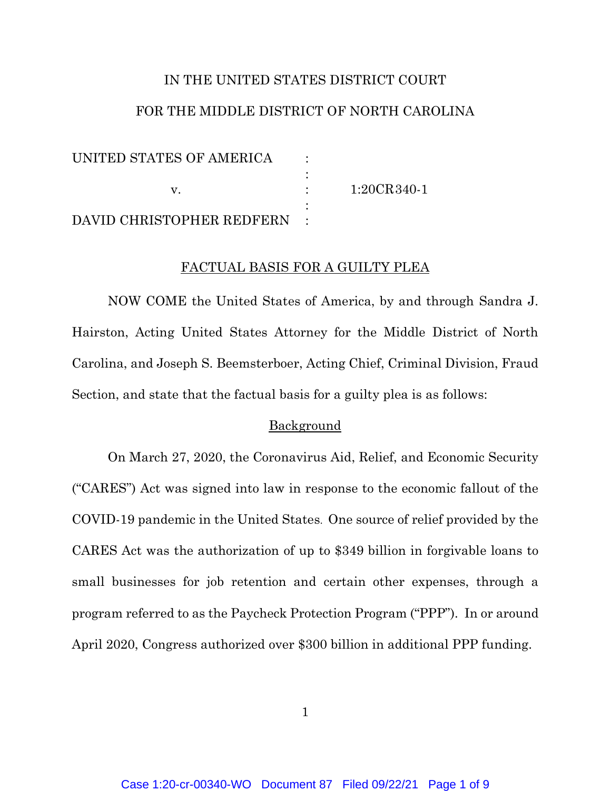# IN THE UNITED STATES DISTRICT COURT FOR THE MIDDLE DISTRICT OF NORTH CAROLINA

| UNITED STATES OF AMERICA  |               |
|---------------------------|---------------|
|                           |               |
|                           | $1:20CR340-1$ |
|                           |               |
| DAVID CHRISTOPHER REDFERN |               |

#### FACTUAL BASIS FOR A GUILTY PLEA

NOW COME the United States of America, by and through Sandra J. Hairston, Acting United States Attorney for the Middle District of North Carolina, and Joseph S. Beemsterboer, Acting Chief, Criminal Division, Fraud Section, and state that the factual basis for a guilty plea is as follows:

### Background

On March 27, 2020, the Coronavirus Aid, Relief, and Economic Security ("CARES") Act was signed into law in response to the economic fallout of the COVID-19 pandemic in the United States. One source of relief provided by the CARES Act was the authorization of up to \$349 billion in forgivable loans to small businesses for job retention and certain other expenses, through a program referred to as the Paycheck Protection Program ("PPP"). In or around April 2020, Congress authorized over \$300 billion in additional PPP funding.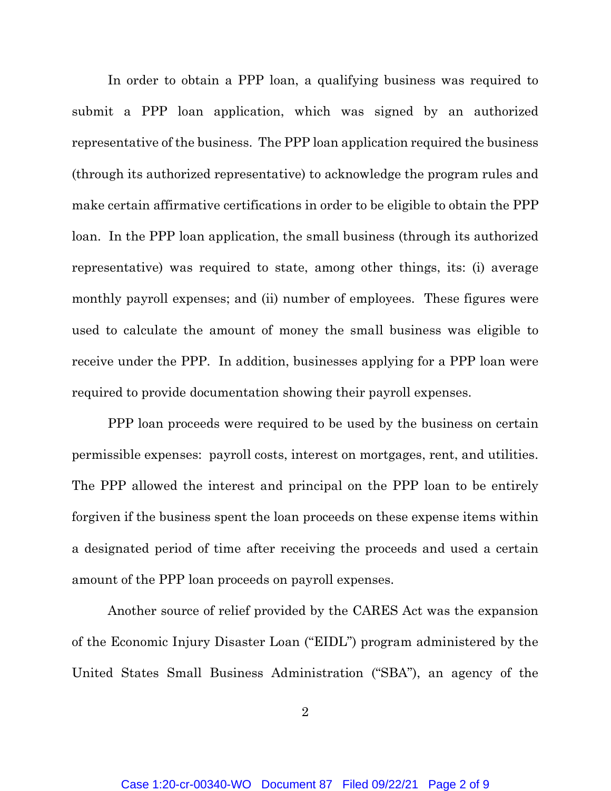In order to obtain a PPP loan, a qualifying business was required to submit a PPP loan application, which was signed by an authorized representative of the business. The PPP loan application required the business (through its authorized representative) to acknowledge the program rules and make certain affirmative certifications in order to be eligible to obtain the PPP loan. In the PPP loan application, the small business (through its authorized representative) was required to state, among other things, its: (i) average monthly payroll expenses; and (ii) number of employees. These figures were used to calculate the amount of money the small business was eligible to receive under the PPP. In addition, businesses applying for a PPP loan were required to provide documentation showing their payroll expenses.

PPP loan proceeds were required to be used by the business on certain permissible expenses: payroll costs, interest on mortgages, rent, and utilities. The PPP allowed the interest and principal on the PPP loan to be entirely forgiven if the business spent the loan proceeds on these expense items within a designated period of time after receiving the proceeds and used a certain amount of the PPP loan proceeds on payroll expenses.

Another source of relief provided by the CARES Act was the expansion of the Economic Injury Disaster Loan ("EIDL") program administered by the United States Small Business Administration ("SBA"), an agency of the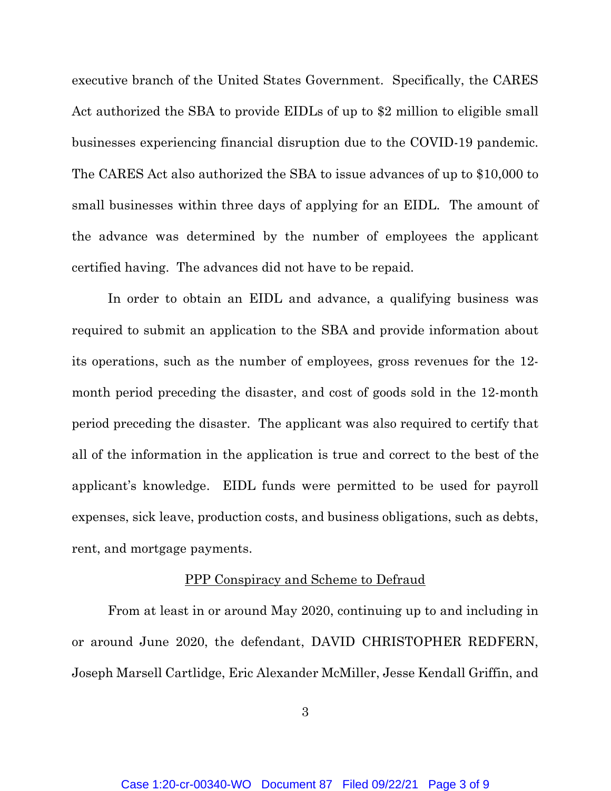executive branch of the United States Government. Specifically, the CARES Act authorized the SBA to provide EIDLs of up to \$2 million to eligible small businesses experiencing financial disruption due to the COVID-19 pandemic. The CARES Act also authorized the SBA to issue advances of up to \$10,000 to small businesses within three days of applying for an EIDL. The amount of the advance was determined by the number of employees the applicant certified having. The advances did not have to be repaid.

In order to obtain an EIDL and advance, a qualifying business was required to submit an application to the SBA and provide information about its operations, such as the number of employees, gross revenues for the 12 month period preceding the disaster, and cost of goods sold in the 12-month period preceding the disaster. The applicant was also required to certify that all of the information in the application is true and correct to the best of the applicant's knowledge. EIDL funds were permitted to be used for payroll expenses, sick leave, production costs, and business obligations, such as debts, rent, and mortgage payments.

#### PPP Conspiracy and Scheme to Defraud

From at least in or around May 2020, continuing up to and including in or around June 2020, the defendant, DAVID CHRISTOPHER REDFERN, Joseph Marsell Cartlidge, Eric Alexander McMiller, Jesse Kendall Griffin, and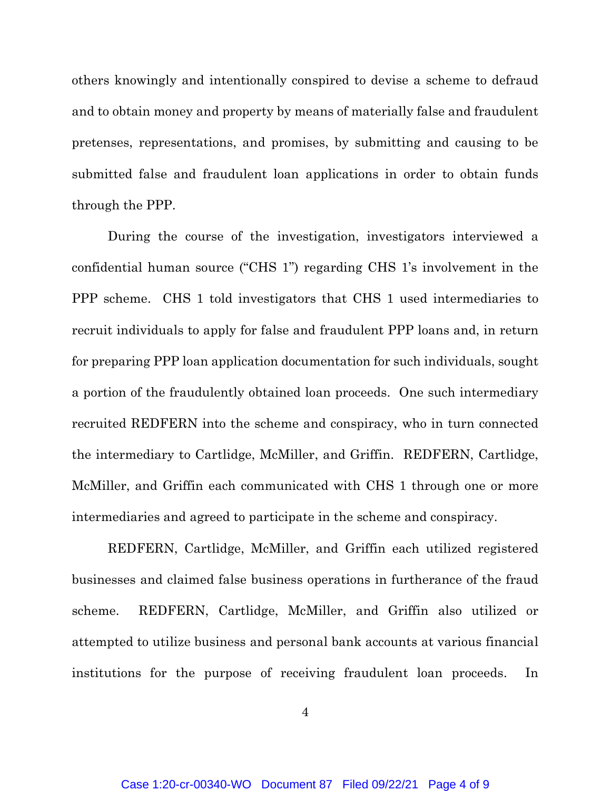others knowingly and intentionally conspired to devise a scheme to defraud and to obtain money and property by means of materially false and fraudulent pretenses, representations, and promises, by submitting and causing to be submitted false and fraudulent loan applications in order to obtain funds through the PPP.

During the course of the investigation, investigators interviewed a confidential human source ("CHS 1") regarding CHS 1's involvement in the PPP scheme. CHS 1 told investigators that CHS 1 used intermediaries to recruit individuals to apply for false and fraudulent PPP loans and, in return for preparing PPP loan application documentation for such individuals, sought a portion of the fraudulently obtained loan proceeds. One such intermediary recruited REDFERN into the scheme and conspiracy, who in turn connected the intermediary to Cartlidge, McMiller, and Griffin. REDFERN, Cartlidge, McMiller, and Griffin each communicated with CHS 1 through one or more intermediaries and agreed to participate in the scheme and conspiracy.

REDFERN, Cartlidge, McMiller, and Griffin each utilized registered businesses and claimed false business operations in furtherance of the fraud scheme. REDFERN, Cartlidge, McMiller, and Griffin also utilized or attempted to utilize business and personal bank accounts at various financial institutions for the purpose of receiving fraudulent loan proceeds. In

4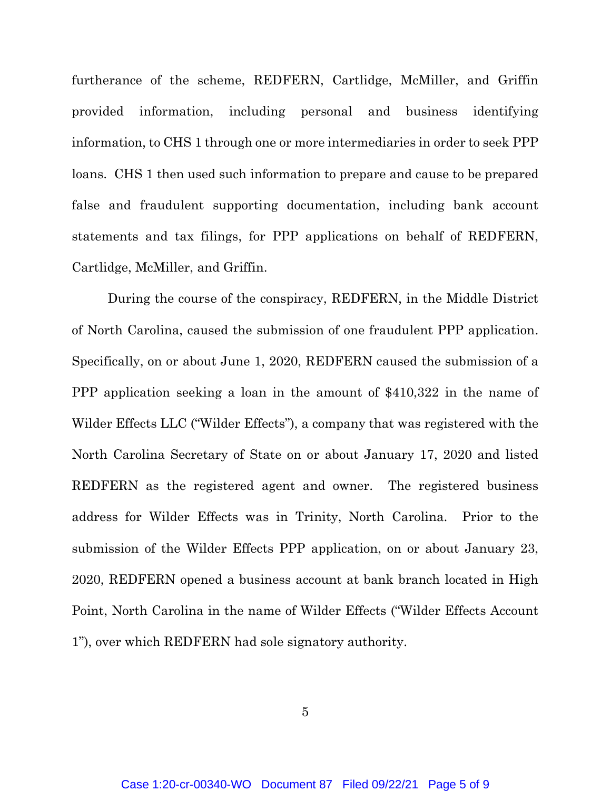furtherance of the scheme, REDFERN, Cartlidge, McMiller, and Griffin provided information, including personal and business identifying information, to CHS 1 through one or more intermediaries in order to seek PPP loans. CHS 1 then used such information to prepare and cause to be prepared false and fraudulent supporting documentation, including bank account statements and tax filings, for PPP applications on behalf of REDFERN, Cartlidge, McMiller, and Griffin.

During the course of the conspiracy, REDFERN, in the Middle District of North Carolina, caused the submission of one fraudulent PPP application. Specifically, on or about June 1, 2020, REDFERN caused the submission of a PPP application seeking a loan in the amount of \$410,322 in the name of Wilder Effects LLC ("Wilder Effects"), a company that was registered with the North Carolina Secretary of State on or about January 17, 2020 and listed REDFERN as the registered agent and owner. The registered business address for Wilder Effects was in Trinity, North Carolina. Prior to the submission of the Wilder Effects PPP application, on or about January 23, 2020, REDFERN opened a business account at bank branch located in High Point, North Carolina in the name of Wilder Effects ("Wilder Effects Account 1"), over which REDFERN had sole signatory authority.

5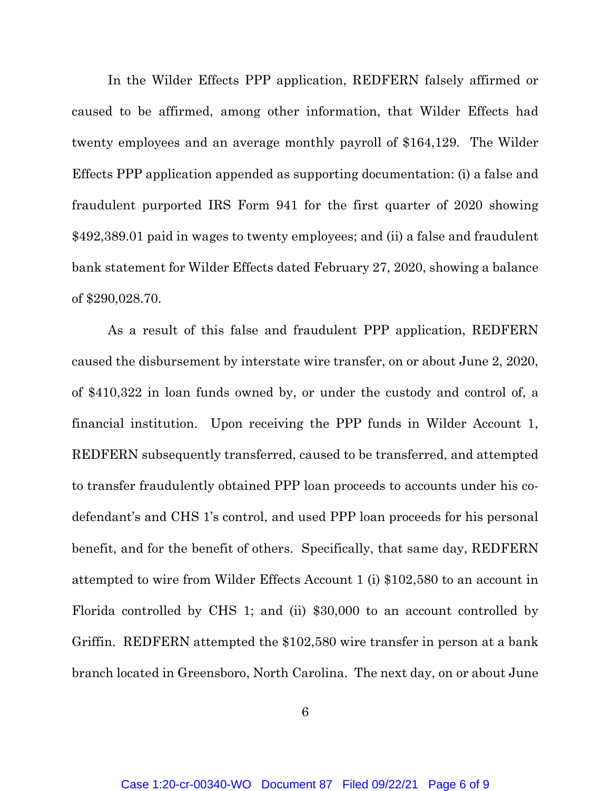In the Wilder Effects PPP application, REDFERN falsely affirmed or caused to be affirmed, among other information, that Wilder Effects had twenty employees and an average monthly payroll of \$164,129. The Wilder Effects PPP application appended as supporting documentation: (i) a false and fraudulent purported IRS Form 941 for the first quarter of 2020 showing \$492,389.01 paid in wages to twenty employees; and (ii) a false and fraudulent bank statement for Wilder Effects dated February 27, 2020, showing a balance of \$290,028.70.

As a result of this false and fraudulent PPP application, REDFERN caused the disbursement by interstate wire transfer, on or about June 2, 2020, of \$410,322 in loan funds owned by, or under the custody and control of, a financial institution. Upon receiving the PPP funds in Wilder Account 1, REDFERN subsequently transferred, caused to be transferred, and attempted to transfer fraudulently obtained PPP loan proceeds to accounts under his codefendant's and CHS 1's control, and used PPP loan proceeds for his personal benefit, and for the benefit of others. Specifically, that same day, REDFERN attempted to wire from Wilder Effects Account 1 (i) \$102,580 to an account in Florida controlled by CHS 1; and (ii) \$30,000 to an account controlled by Griffin. REDFERN attempted the \$102,580 wire transfer in person at a bank branch located in Greensboro, North Carolina. The next day, on or about June

6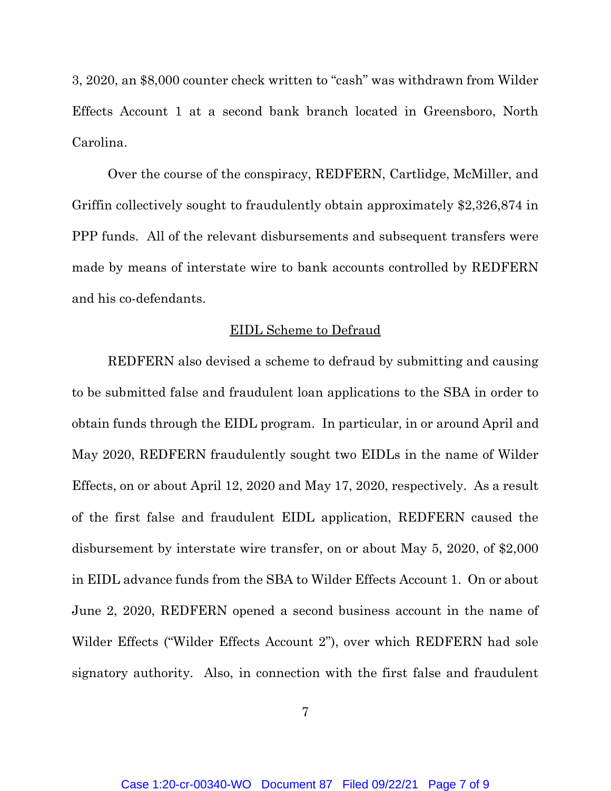3, 2020, an \$8,000 counter check written to "cash" was withdrawn from Wilder Effects Account 1 at a second bank branch located in Greensboro, North Carolina.

Over the course of the conspiracy, REDFERN, Cartlidge, McMiller, and Griffin collectively sought to fraudulently obtain approximately \$2,326,874 in PPP funds. All of the relevant disbursements and subsequent transfers were made by means of interstate wire to bank accounts controlled by REDFERN and his co-defendants.

#### EIDL Scheme to Defraud

REDFERN also devised a scheme to defraud by submitting and causing to be submitted false and fraudulent loan applications to the SBA in order to obtain funds through the EIDL program. In particular, in or around April and May 2020, REDFERN fraudulently sought two EIDLs in the name of Wilder Effects, on or about April 12, 2020 and May 17, 2020, respectively. As a result of the first false and fraudulent EIDL application, REDFERN caused the disbursement by interstate wire transfer, on or about May 5, 2020, of \$2,000 in EIDL advance funds from the SBA to Wilder Effects Account 1. On or about June 2, 2020, REDFERN opened a second business account in the name of Wilder Effects ("Wilder Effects Account 2"), over which REDFERN had sole signatory authority. Also, in connection with the first false and fraudulent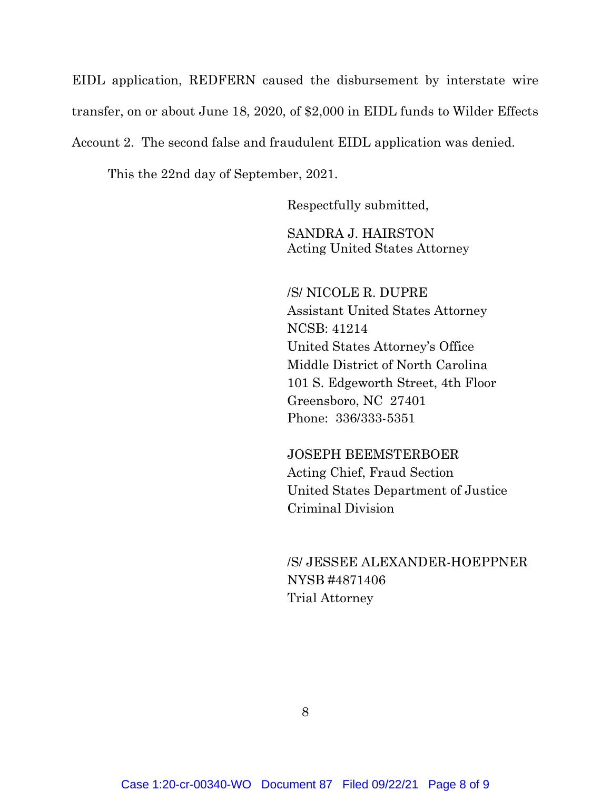EIDL application, REDFERN caused the disbursement by interstate wire transfer, on or about June 18, 2020, of \$2,000 in EIDL funds to Wilder Effects Account 2. The second false and fraudulent EIDL application was denied.

This the 22nd day of September, 2021.

Respectfully submitted,

SANDRA J. HAIRSTON Acting United States Attorney

/S/ NICOLE R. DUPRE Assistant United States Attorney NCSB: 41214 United States Attorney's Office Middle District of North Carolina 101 S. Edgeworth Street, 4th Floor Greensboro, NC 27401 Phone: 336/333-5351

JOSEPH BEEMSTERBOER Acting Chief, Fraud Section United States Department of Justice Criminal Division

/S/ JESSEE ALEXANDER-HOEPPNER NYSB #4871406 Trial Attorney